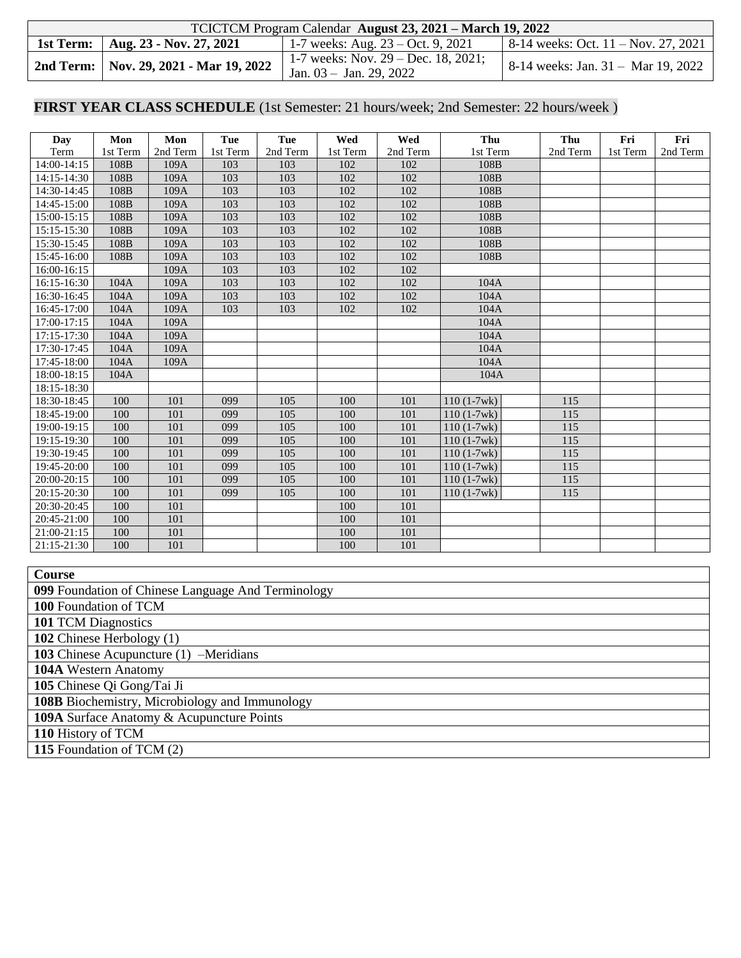| TCICTCM Program Calendar August 23, 2021 – March 19, 2022 |                                                                  |                                             |  |  |  |  |  |  |
|-----------------------------------------------------------|------------------------------------------------------------------|---------------------------------------------|--|--|--|--|--|--|
| 1st Term:   Aug. 23 - Nov. 27, 2021                       | 1-7 weeks: Aug. $23 - Oct. 9, 2021$                              | $\vert$ 8-14 weeks: Oct. 11 – Nov. 27, 2021 |  |  |  |  |  |  |
| 2nd Term:   Nov. 29, 2021 - Mar 19, 2022                  | 1-7 weeks: Nov. 29 – Dec. 18, 2021;<br>Jan. $03 -$ Jan. 29, 2022 | 8-14 weeks: Jan. 31 - Mar 19, 2022          |  |  |  |  |  |  |

## **FIRST YEAR CLASS SCHEDULE** (1st Semester: 21 hours/week; 2nd Semester: 22 hours/week )

| <b>Day</b>                                                                  | Mon          | Mon          | Tue        | Tue        | Wed        | Wed        | Thu          | Thu              | Fri      | Fri      |
|-----------------------------------------------------------------------------|--------------|--------------|------------|------------|------------|------------|--------------|------------------|----------|----------|
| Term                                                                        | 1st Term     | 2nd Term     | 1st Term   | 2nd Term   | 1st Term   | 2nd Term   | 1st Term     | 2nd Term         | 1st Term | 2nd Term |
| $14:00 - 14:15$                                                             | 108B         | 109A         | 103        | 103        | 102        | 102        | 108B         |                  |          |          |
| 14:15-14:30                                                                 | 108B         | 109A         | 103        | 103        | 102        | 102        | 108B         |                  |          |          |
| 14:30-14:45                                                                 | 108B         | 109A         | 103        | 103        | 102        | 102        | 108B         |                  |          |          |
| 14:45-15:00                                                                 | 108B         | 109A         | 103        | 103        | 102        | 102        | 108B         |                  |          |          |
| 15:00-15:15<br>15:15-15:30                                                  | 108B<br>108B | 109A<br>109A | 103<br>103 | 103<br>103 | 102<br>102 | 102<br>102 | 108B<br>108B |                  |          |          |
| 15:30-15:45                                                                 | 108B         | 109A         | 103        | 103        | 102        | 102        | 108B         |                  |          |          |
| 15:45-16:00                                                                 | 108B         | 109A         | 103        | 103        | 102        | 102        | 108B         |                  |          |          |
| 16:00-16:15                                                                 |              | 109A         | 103        | 103        | 102        | 102        |              |                  |          |          |
| 16:15-16:30                                                                 | 104A         | 109A         | 103        | 103        | 102        | 102        | 104A         |                  |          |          |
| 16:30-16:45                                                                 | 104A         | 109A         | 103        | 103        | 102        | 102        | 104A         |                  |          |          |
| 16:45-17:00                                                                 | 104A         | 109A         | 103        | 103        | 102        | 102        | 104A         |                  |          |          |
| 17:00-17:15                                                                 | 104A         | 109A         |            |            |            |            | 104A         |                  |          |          |
| 17:15-17:30                                                                 | 104A         | 109A         |            |            |            |            | 104A         |                  |          |          |
| 17:30-17:45                                                                 | 104A         | 109A         |            |            |            |            | 104A         |                  |          |          |
| 17:45-18:00                                                                 | 104A         | 109A         |            |            |            |            | 104A         |                  |          |          |
| 18:00-18:15                                                                 | 104A         |              |            |            |            |            | 104A         |                  |          |          |
| 18:15-18:30                                                                 |              |              |            |            |            |            |              |                  |          |          |
| 18:30-18:45                                                                 | 100          | 101          | 099        | 105        | 100        | 101        | $110(1-7wk)$ | 115              |          |          |
| 18:45-19:00                                                                 | 100          | 101          | 099        | 105        | 100        | 101        | $110(1-7wk)$ | 115              |          |          |
| 19:00-19:15                                                                 | 100          | 101          | 099        | 105        | 100        | 101        | $110(1-7wk)$ | 115              |          |          |
| 19:15-19:30                                                                 | 100          | 101          | 099        | 105        | 100        | 101        | $110(1-7wk)$ | 115              |          |          |
| 19:30-19:45                                                                 | 100          | 101          | 099        | 105        | 100        | 101        | $110(1-7wk)$ | $\overline{115}$ |          |          |
| 19:45-20:00                                                                 | 100          | 101          | 099        | 105        | 100        | 101        | $110(1-7wk)$ | 115              |          |          |
| 20:00-20:15                                                                 | 100          | 101          | 099        | 105        | 100        | 101        | $110(1-7wk)$ | 115              |          |          |
| 20:15-20:30                                                                 | 100          | 101          | 099        | 105        | 100        | 101        | $110(1-7wk)$ | $\overline{115}$ |          |          |
| 20:30-20:45                                                                 | 100          | 101          |            |            | 100        | 101        |              |                  |          |          |
| 20:45-21:00                                                                 | 100          | 101          |            |            | 100        | 101        |              |                  |          |          |
| 21:00-21:15                                                                 | 100          | 101          |            |            | 100        | 101        |              |                  |          |          |
| 21:15-21:30                                                                 | 100          | 101          |            |            | 100        | 101        |              |                  |          |          |
|                                                                             |              |              |            |            |            |            |              |                  |          |          |
| Course                                                                      |              |              |            |            |            |            |              |                  |          |          |
| 099 Foundation of Chinese Language And Terminology<br>100 Foundation of TCM |              |              |            |            |            |            |              |                  |          |          |
| 101 TCM Diagnostics                                                         |              |              |            |            |            |            |              |                  |          |          |
| 102 Chinese Herbology (1)                                                   |              |              |            |            |            |            |              |                  |          |          |
| 103 Chinese Acupuncture (1) -Meridians                                      |              |              |            |            |            |            |              |                  |          |          |
|                                                                             |              |              |            |            |            |            |              |                  |          |          |
| 104A Western Anatomy<br>105 Chinese Qi Gong/Tai Ji                          |              |              |            |            |            |            |              |                  |          |          |
| 108B Biochemistry, Microbiology and Immunology                              |              |              |            |            |            |            |              |                  |          |          |
| 109A Surface Anatomy & Acupuncture Points                                   |              |              |            |            |            |            |              |                  |          |          |
| 110 History of TCM                                                          |              |              |            |            |            |            |              |                  |          |          |

**115** Foundation of TCM (2)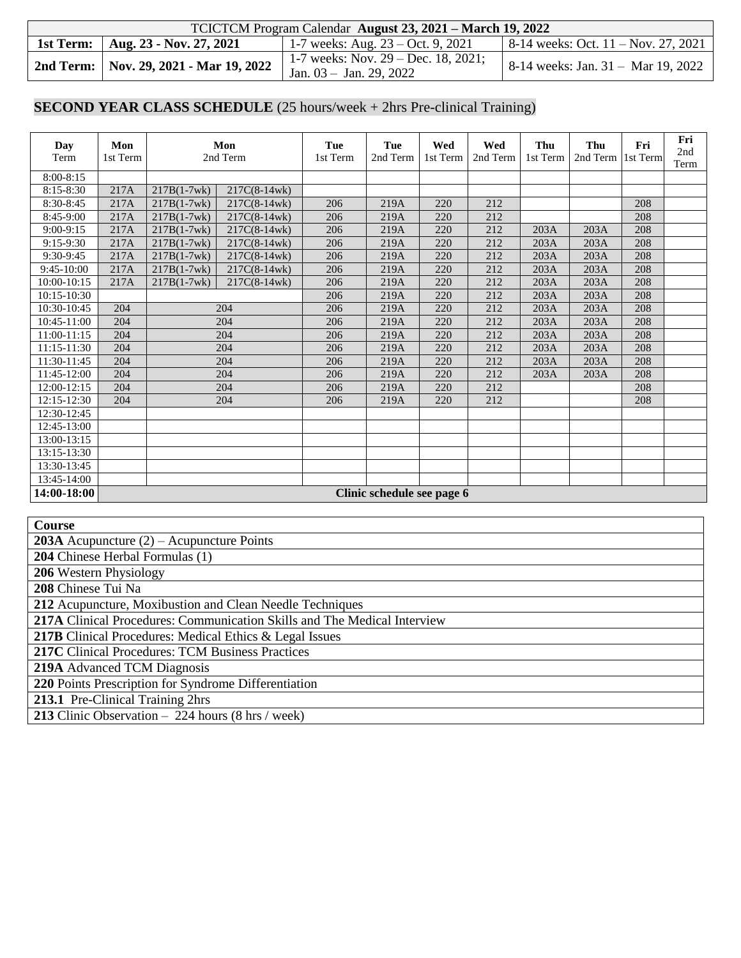| TCICTCM Program Calendar August 23, 2021 – March 19, 2022 |                                                                     |                                             |  |  |  |  |  |  |
|-----------------------------------------------------------|---------------------------------------------------------------------|---------------------------------------------|--|--|--|--|--|--|
| 1st Term:   Aug. 23 - Nov. 27, 2021                       | 1-7 weeks: Aug. $23 - Oct. 9, 2021$                                 | $\vert$ 8-14 weeks: Oct. 11 – Nov. 27, 2021 |  |  |  |  |  |  |
| 2nd Term: Nov. 29, 2021 - Mar 19, 2022                    | 1-7 weeks: Nov. $29 - Dec. 18, 2021$ ;<br>Jan. $03 -$ Jan. 29, 2022 | 8-14 weeks: Jan. 31 - Mar 19, 2022          |  |  |  |  |  |  |

### **SECOND YEAR CLASS SCHEDULE** (25 hours/week + 2hrs Pre-clinical Training)

| Day<br>Term     | Mon<br>1st Term |               | Mon<br>2nd Term | Tue<br>1st Term | Tue<br>2nd Term            | Wed<br>1st Term | Wed<br>2nd Term | Thu<br>1st Term | Thu<br>2nd Term 1st Term | Fri | Fri<br>2nd<br>Term |
|-----------------|-----------------|---------------|-----------------|-----------------|----------------------------|-----------------|-----------------|-----------------|--------------------------|-----|--------------------|
| $8:00 - 8:15$   |                 |               |                 |                 |                            |                 |                 |                 |                          |     |                    |
| $8:15 - 8:30$   | 217A            | $217B(1-7wk)$ | 217C(8-14wk)    |                 |                            |                 |                 |                 |                          |     |                    |
| 8:30-8:45       | 217A            | $217B(1-7wk)$ | $217C(8-14wk)$  | 206             | 219A                       | 220             | 212             |                 |                          | 208 |                    |
| 8:45-9:00       | 217A            | $217B(1-7wk)$ | $217C(8-14wk)$  | 206             | 219A                       | 220             | 212             |                 |                          | 208 |                    |
| $9:00-9:15$     | 217A            | $217B(1-7wk)$ | $217C(8-14wk)$  | 206             | 219A                       | 220             | 212             | 203A            | 203A                     | 208 |                    |
| 9:15-9:30       | 217A            | $217B(1-7wk)$ | $217C(8-14wk)$  | 206             | 219A                       | 220             | 212             | 203A            | 203A                     | 208 |                    |
| 9:30-9:45       | 217A            | $217B(1-7wk)$ | $217C(8-14wk)$  | 206             | 219A                       | 220             | 212             | 203A            | 203A                     | 208 |                    |
| $9:45-10:00$    | 217A            | $217B(1-7wk)$ | $217C(8-14wk)$  | 206             | 219A                       | 220             | 212             | 203A            | 203A                     | 208 |                    |
| $10:00 - 10:15$ | 217A            | $217B(1-7wk)$ | $217C(8-14wk)$  | 206             | 219A                       | 220             | 212             | 203A            | 203A                     | 208 |                    |
| 10:15-10:30     |                 |               |                 | 206             | 219A                       | 220             | 212             | 203A            | 203A                     | 208 |                    |
| 10:30-10:45     | 204             |               | 204             | 206             | 219A                       | 220             | 212             | 203A            | 203A                     | 208 |                    |
| 10:45-11:00     | 204             |               | 204             | 206             | 219A                       | 220             | 212             | 203A            | 203A                     | 208 |                    |
| 11:00-11:15     | 204             |               | 204             | 206             | 219A                       | 220             | 212             | 203A            | 203A                     | 208 |                    |
| 11:15-11:30     | 204             |               | 204             | 206             | 219A                       | 220             | 212             | 203A            | 203A                     | 208 |                    |
| 11:30-11:45     | 204             |               | 204             | 206             | 219A                       | 220             | 212             | 203A            | 203A                     | 208 |                    |
| 11:45-12:00     | 204             |               | 204             | 206             | 219A                       | 220             | 212             | 203A            | 203A                     | 208 |                    |
| 12:00-12:15     | 204             |               | 204             | 206             | 219A                       | 220             | 212             |                 |                          | 208 |                    |
| 12:15-12:30     | 204             |               | 204             | 206             | 219A                       | 220             | 212             |                 |                          | 208 |                    |
| 12:30-12:45     |                 |               |                 |                 |                            |                 |                 |                 |                          |     |                    |
| 12:45-13:00     |                 |               |                 |                 |                            |                 |                 |                 |                          |     |                    |
| 13:00-13:15     |                 |               |                 |                 |                            |                 |                 |                 |                          |     |                    |
| 13:15-13:30     |                 |               |                 |                 |                            |                 |                 |                 |                          |     |                    |
| 13:30-13:45     |                 |               |                 |                 |                            |                 |                 |                 |                          |     |                    |
| 13:45-14:00     |                 |               |                 |                 |                            |                 |                 |                 |                          |     |                    |
| 14:00-18:00     |                 |               |                 |                 | Clinic schedule see page 6 |                 |                 |                 |                          |     |                    |

**Course**

**203A** Acupuncture (2) – Acupuncture Points

**204** Chinese Herbal Formulas (1)

**206** Western Physiology

**208** Chinese Tui Na

**212** Acupuncture, Moxibustion and Clean Needle Techniques

**217A** Clinical Procedures: Communication Skills and The Medical Interview

217B Clinical Procedures: Medical Ethics & Legal Issues

**217C** Clinical Procedures: TCM Business Practices

**219A** Advanced TCM Diagnosis

**220** Points Prescription for Syndrome Differentiation

**213.1** Pre-Clinical Training 2hrs

**213** Clinic Observation – 224 hours (8 hrs / week)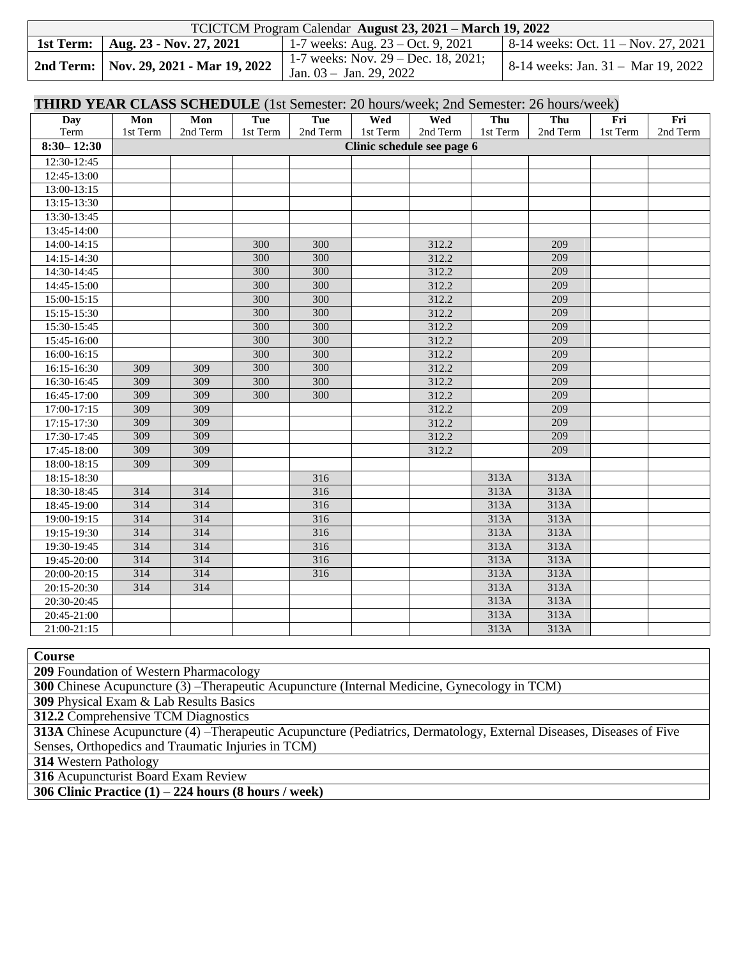| TCICTCM Program Calendar August 23, 2021 – March 19, 2022 |                                                                  |                                                 |  |  |  |  |  |  |  |
|-----------------------------------------------------------|------------------------------------------------------------------|-------------------------------------------------|--|--|--|--|--|--|--|
| 1st Term:   Aug. 23 - Nov. 27, 2021                       | 1-7 weeks: Aug. $23 - Oct. 9, 2021$                              | $8-14$ weeks: Oct. $11 - \text{Nov. } 27, 2021$ |  |  |  |  |  |  |  |
| 2nd Term:   Nov. 29, 2021 - Mar 19, 2022                  | 1-7 weeks: Nov. 29 – Dec. 18, 2021;<br>Jan. $03 -$ Jan. 29, 2022 | 8-14 weeks: Jan. 31 – Mar 19, 2022              |  |  |  |  |  |  |  |

#### **THIRD YEAR CLASS SCHEDULE** (1st Semester: 20 hours/week; 2nd Semester: 26 hours/week)

| <b>Day</b>      | Mon      | Mon      | $\cdot$ , $\cdot$ $\sim$ $\cdot$ $\sim$ $\cdot$<br>Tue | Tue      | Wed      | Wed                        | Thu      | Thu      | Fri      | Fri      |
|-----------------|----------|----------|--------------------------------------------------------|----------|----------|----------------------------|----------|----------|----------|----------|
| Term            | 1st Term | 2nd Term | 1st Term                                               | 2nd Term | 1st Term | 2nd Term                   | 1st Term | 2nd Term | 1st Term | 2nd Term |
| $8:30 - 12:30$  |          |          |                                                        |          |          | Clinic schedule see page 6 |          |          |          |          |
| 12:30-12:45     |          |          |                                                        |          |          |                            |          |          |          |          |
| 12:45-13:00     |          |          |                                                        |          |          |                            |          |          |          |          |
| 13:00-13:15     |          |          |                                                        |          |          |                            |          |          |          |          |
| 13:15-13:30     |          |          |                                                        |          |          |                            |          |          |          |          |
| 13:30-13:45     |          |          |                                                        |          |          |                            |          |          |          |          |
| 13:45-14:00     |          |          |                                                        |          |          |                            |          |          |          |          |
| 14:00-14:15     |          |          | 300                                                    | 300      |          | 312.2                      |          | 209      |          |          |
| 14:15-14:30     |          |          | 300                                                    | 300      |          | 312.2                      |          | 209      |          |          |
| 14:30-14:45     |          |          | 300                                                    | 300      |          | 312.2                      |          | 209      |          |          |
| 14:45-15:00     |          |          | 300                                                    | 300      |          | 312.2                      |          | 209      |          |          |
| 15:00-15:15     |          |          | 300                                                    | 300      |          | 312.2                      |          | 209      |          |          |
| 15:15-15:30     |          |          | 300                                                    | 300      |          | 312.2                      |          | 209      |          |          |
| 15:30-15:45     |          |          | 300                                                    | 300      |          | 312.2                      |          | 209      |          |          |
| 15:45-16:00     |          |          | 300                                                    | 300      |          | 312.2                      |          | 209      |          |          |
| $16:00 - 16:15$ |          |          | 300                                                    | 300      |          | 312.2                      |          | 209      |          |          |
| 16:15-16:30     | 309      | 309      | 300                                                    | 300      |          | 312.2                      |          | 209      |          |          |
| 16:30-16:45     | 309      | 309      | 300                                                    | 300      |          | 312.2                      |          | 209      |          |          |
| 16:45-17:00     | 309      | 309      | 300                                                    | 300      |          | 312.2                      |          | 209      |          |          |
| 17:00-17:15     | 309      | 309      |                                                        |          |          | 312.2                      |          | 209      |          |          |
| 17:15-17:30     | 309      | 309      |                                                        |          |          | 312.2                      |          | 209      |          |          |
| 17:30-17:45     | 309      | 309      |                                                        |          |          | 312.2                      |          | 209      |          |          |
| 17:45-18:00     | 309      | 309      |                                                        |          |          | 312.2                      |          | 209      |          |          |
| 18:00-18:15     | 309      | 309      |                                                        |          |          |                            |          |          |          |          |
| 18:15-18:30     |          |          |                                                        | 316      |          |                            | 313A     | 313A     |          |          |
| 18:30-18:45     | 314      | 314      |                                                        | 316      |          |                            | 313A     | 313A     |          |          |
| 18:45-19:00     | 314      | 314      |                                                        | 316      |          |                            | 313A     | 313A     |          |          |
| 19:00-19:15     | 314      | 314      |                                                        | 316      |          |                            | 313A     | 313A     |          |          |
| 19:15-19:30     | 314      | 314      |                                                        | 316      |          |                            | 313A     | 313A     |          |          |
| 19:30-19:45     | 314      | 314      |                                                        | 316      |          |                            | 313A     | 313A     |          |          |
| 19:45-20:00     | 314      | 314      |                                                        | 316      |          |                            | 313A     | 313A     |          |          |
| 20:00-20:15     | 314      | 314      |                                                        | 316      |          |                            | 313A     | 313A     |          |          |
| 20:15-20:30     | 314      | 314      |                                                        |          |          |                            | 313A     | 313A     |          |          |
| $20:30-20:45$   |          |          |                                                        |          |          |                            | 313A     | 313A     |          |          |
| 20:45-21:00     |          |          |                                                        |          |          |                            | 313A     | 313A     |          |          |
| 21:00-21:15     |          |          |                                                        |          |          |                            | 313A     | 313A     |          |          |

**Course**

**209** Foundation of Western Pharmacology

**300** Chinese Acupuncture (3) –Therapeutic Acupuncture (Internal Medicine, Gynecology in TCM)

**309** Physical Exam & Lab Results Basics

**312.2** Comprehensive TCM Diagnostics

**313A** Chinese Acupuncture (4) –Therapeutic Acupuncture (Pediatrics, Dermatology, External Diseases, Diseases of Five Senses, Orthopedics and Traumatic Injuries in TCM)

**314** Western Pathology

**316** Acupuncturist Board Exam Review

**306 Clinic Practice (1) – 224 hours (8 hours / week)**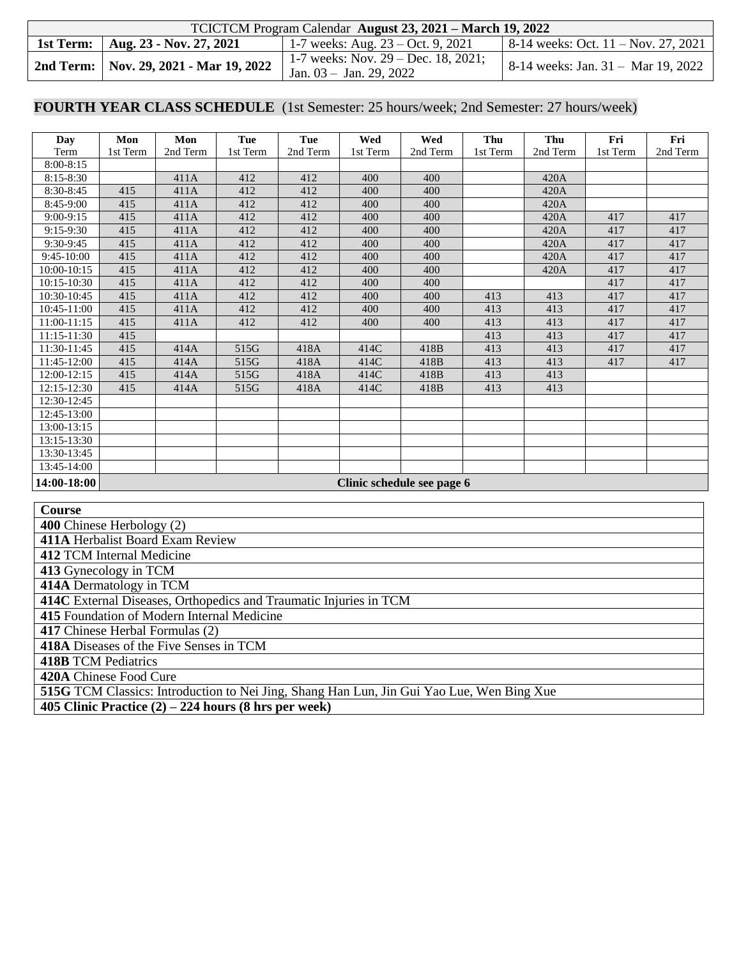|           | TCICTCM Program Calendar August 23, 2021 – March 19, 2022 |                                                                     |                                                 |  |  |  |  |  |  |
|-----------|-----------------------------------------------------------|---------------------------------------------------------------------|-------------------------------------------------|--|--|--|--|--|--|
| 1st Term: | Aug. 23 - Nov. 27, 2021                                   | 1-7 weeks: Aug. $23 - Oct. 9, 2021$                                 | $8-14$ weeks: Oct. $11 - \text{Nov. } 27, 2021$ |  |  |  |  |  |  |
|           | 2nd Term:   Nov. 29, 2021 - Mar 19, 2022                  | 1-7 weeks: Nov. $29 - Dec. 18, 2021$ ;<br>Jan. $03 -$ Jan. 29, 2022 | 8-14 weeks: Jan. 31 - Mar 19, 2022              |  |  |  |  |  |  |

#### **FOURTH YEAR CLASS SCHEDULE** (1st Semester: 25 hours/week; 2nd Semester: 27 hours/week)

| Day           | Mon      | Mon      | Tue      | Tue      | Wed      | Wed                        | Thu      | Thu      | Fri      | Fri      |
|---------------|----------|----------|----------|----------|----------|----------------------------|----------|----------|----------|----------|
| Term          | 1st Term | 2nd Term | 1st Term | 2nd Term | 1st Term | 2nd Term                   | 1st Term | 2nd Term | 1st Term | 2nd Term |
| $8:00-8:15$   |          |          |          |          |          |                            |          |          |          |          |
| $8:15 - 8:30$ |          | 411A     | 412      | 412      | 400      | 400                        |          | 420A     |          |          |
| 8:30-8:45     | 415      | 411A     | 412      | 412      | 400      | 400                        |          | 420A     |          |          |
| 8:45-9:00     | 415      | 411A     | 412      | 412      | 400      | 400                        |          | 420A     |          |          |
| $9:00-9:15$   | 415      | 411A     | 412      | 412      | 400      | 400                        |          | 420A     | 417      | 417      |
| $9:15-9:30$   | 415      | 411A     | 412      | 412      | 400      | 400                        |          | 420A     | 417      | 417      |
| 9:30-9:45     | 415      | 411A     | 412      | 412      | 400      | 400                        |          | 420A     | 417      | 417      |
| $9:45-10:00$  | 415      | 411A     | 412      | 412      | 400      | 400                        |          | 420A     | 417      | 417      |
| 10:00-10:15   | 415      | 411A     | 412      | 412      | 400      | 400                        |          | 420A     | 417      | 417      |
| 10:15-10:30   | 415      | 411A     | 412      | 412      | 400      | 400                        |          |          | 417      | 417      |
| 10:30-10:45   | 415      | 411A     | 412      | 412      | 400      | 400                        | 413      | 413      | 417      | 417      |
| 10:45-11:00   | 415      | 411A     | 412      | 412      | 400      | 400                        | 413      | 413      | 417      | 417      |
| 11:00-11:15   | 415      | 411A     | 412      | 412      | 400      | 400                        | 413      | 413      | 417      | 417      |
| 11:15-11:30   | 415      |          |          |          |          |                            | 413      | 413      | 417      | 417      |
| 11:30-11:45   | 415      | 414A     | 515G     | 418A     | 414C     | 418B                       | 413      | 413      | 417      | 417      |
| 11:45-12:00   | 415      | 414A     | 515G     | 418A     | 414C     | 418B                       | 413      | 413      | 417      | 417      |
| $12:00-12:15$ | 415      | 414A     | 515G     | 418A     | 414C     | 418B                       | 413      | 413      |          |          |
| $12:15-12:30$ | 415      | 414A     | 515G     | 418A     | 414C     | 418B                       | 413      | 413      |          |          |
| 12:30-12:45   |          |          |          |          |          |                            |          |          |          |          |
| 12:45-13:00   |          |          |          |          |          |                            |          |          |          |          |
| 13:00-13:15   |          |          |          |          |          |                            |          |          |          |          |
| 13:15-13:30   |          |          |          |          |          |                            |          |          |          |          |
| 13:30-13:45   |          |          |          |          |          |                            |          |          |          |          |
| 13:45-14:00   |          |          |          |          |          |                            |          |          |          |          |
| 14:00-18:00   |          |          |          |          |          | Clinic schedule see page 6 |          |          |          |          |

**Course 400** Chinese Herbology (2)

**411A** Herbalist Board Exam Review

**412** TCM Internal Medicine

**413** Gynecology in TCM

**414A** Dermatology in TCM

**414C** External Diseases, Orthopedics and Traumatic Injuries in TCM

**415** Foundation of Modern Internal Medicine

**417** Chinese Herbal Formulas (2)

**418A** Diseases of the Five Senses in TCM

**418B** TCM Pediatrics

**420A** Chinese Food Cure

**515G** TCM Classics: Introduction to Nei Jing, Shang Han Lun, Jin Gui Yao Lue, Wen Bing Xue

**405 Clinic Practice (2) – 224 hours (8 hrs per week)**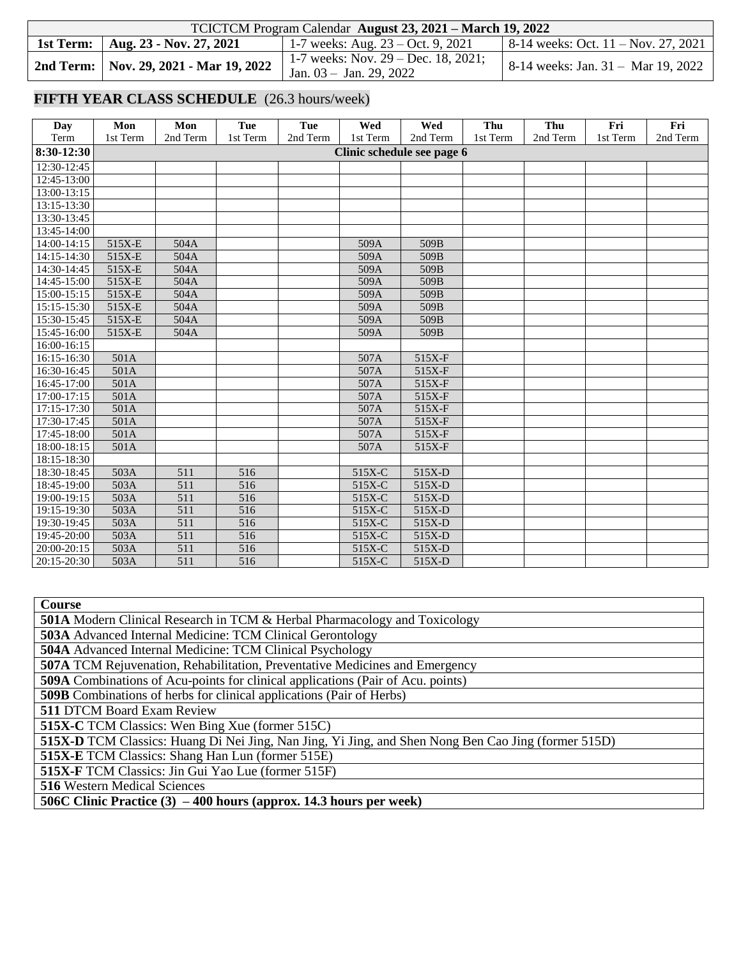| TCICTCM Program Calendar August 23, 2021 – March 19, 2022 |                                                                                                                                                                                                                                                                                                                                                                                                                                                                                                          |                                             |  |  |  |  |  |  |
|-----------------------------------------------------------|----------------------------------------------------------------------------------------------------------------------------------------------------------------------------------------------------------------------------------------------------------------------------------------------------------------------------------------------------------------------------------------------------------------------------------------------------------------------------------------------------------|---------------------------------------------|--|--|--|--|--|--|
| 1st Term:   Aug. 23 - Nov. 27, 2021                       | 1-7 weeks: Aug. $23 - Oct. 9, 2021$                                                                                                                                                                                                                                                                                                                                                                                                                                                                      | $\vert$ 8-14 weeks: Oct. 11 – Nov. 27, 2021 |  |  |  |  |  |  |
|                                                           | 1-7 weeks: Nov. $29 - Dec. 18, 2021$ ;<br><b>2nd Term:</b> Nov. 29, 2021 - Mar 19, 2022 $\begin{vmatrix} 1^{-7} & \text{wectors } 1 & \text{wectors } 2 & \text{wectors } 1 & \text{wectors } 1 & \text{wectors } 2 & \text{wectors } 1 & \text{wectors } 2 & \text{wectors } 1 & \text{wectors } 2 & \text{wectors } 1 & \text{wectors } 1 & \text{wectors } 1 & \text{wectors } 1 & \text{wectors } 1 & \text{wectors } 1 & \text{wectors } 1 & \text{wectors } 1 & \text{wectors } 1 & \text{wectors$ | 8-14 weeks: Jan. 31 – Mar 19, 2022          |  |  |  |  |  |  |

# **FIFTH YEAR CLASS SCHEDULE** (26.3 hours/week)

| Day           | Mon                        | Mon      | Tue      | Tue      | Wed      | Wed      | Thu      | Thu      | Fri      | Fri      |  |
|---------------|----------------------------|----------|----------|----------|----------|----------|----------|----------|----------|----------|--|
| Term          | 1st Term                   | 2nd Term | 1st Term | 2nd Term | 1st Term | 2nd Term | 1st Term | 2nd Term | 1st Term | 2nd Term |  |
| 8:30-12:30    | Clinic schedule see page 6 |          |          |          |          |          |          |          |          |          |  |
| 12:30-12:45   |                            |          |          |          |          |          |          |          |          |          |  |
| $12:45-13:00$ |                            |          |          |          |          |          |          |          |          |          |  |
| 13:00-13:15   |                            |          |          |          |          |          |          |          |          |          |  |
| 13:15-13:30   |                            |          |          |          |          |          |          |          |          |          |  |
| 13:30-13:45   |                            |          |          |          |          |          |          |          |          |          |  |
| 13:45-14:00   |                            |          |          |          |          |          |          |          |          |          |  |
| $14:00-14:15$ | 515X-E                     | 504A     |          |          | 509A     | 509B     |          |          |          |          |  |
| 14:15-14:30   | 515X-E                     | 504A     |          |          | 509A     | 509B     |          |          |          |          |  |
| 14:30-14:45   | 515X-E                     | 504A     |          |          | 509A     | 509B     |          |          |          |          |  |
| 14:45-15:00   | 515X-E                     | 504A     |          |          | 509A     | 509B     |          |          |          |          |  |
| 15:00-15:15   | 515X-E                     | 504A     |          |          | 509A     | 509B     |          |          |          |          |  |
| 15:15-15:30   | 515X-E                     | 504A     |          |          | 509A     | 509B     |          |          |          |          |  |
| 15:30-15:45   | 515X-E                     | 504A     |          |          | 509A     | 509B     |          |          |          |          |  |
| 15:45-16:00   | 515X-E                     | 504A     |          |          | 509A     | 509B     |          |          |          |          |  |
| 16:00-16:15   |                            |          |          |          |          |          |          |          |          |          |  |
| 16:15-16:30   | 501A                       |          |          |          | 507A     | 515X-F   |          |          |          |          |  |
| 16:30-16:45   | 501A                       |          |          |          | 507A     | 515X-F   |          |          |          |          |  |
| 16:45-17:00   | 501A                       |          |          |          | 507A     | 515X-F   |          |          |          |          |  |
| 17:00-17:15   | 501A                       |          |          |          | 507A     | 515X-F   |          |          |          |          |  |
| 17:15-17:30   | 501A                       |          |          |          | 507A     | 515X-F   |          |          |          |          |  |
| 17:30-17:45   | 501A                       |          |          |          | 507A     | $515X-F$ |          |          |          |          |  |
| 17:45-18:00   | 501A                       |          |          |          | 507A     | 515X-F   |          |          |          |          |  |
| 18:00-18:15   | 501A                       |          |          |          | 507A     | 515X-F   |          |          |          |          |  |
| 18:15-18:30   |                            |          |          |          |          |          |          |          |          |          |  |
| 18:30-18:45   | 503A                       | 511      | 516      |          | 515X-C   | 515X-D   |          |          |          |          |  |
| 18:45-19:00   | 503A                       | 511      | 516      |          | 515X-C   | $515X-D$ |          |          |          |          |  |
| 19:00-19:15   | 503A                       | 511      | 516      |          | 515X-C   | 515X-D   |          |          |          |          |  |
| 19:15-19:30   | 503A                       | 511      | 516      |          | 515X-C   | 515X-D   |          |          |          |          |  |
| 19:30-19:45   | 503A                       | 511      | 516      |          | 515X-C   | 515X-D   |          |          |          |          |  |
| 19:45-20:00   | 503A                       | 511      | 516      |          | 515X-C   | $515X-D$ |          |          |          |          |  |
| 20:00-20:15   | 503A                       | 511      | 516      |          | 515X-C   | 515X-D   |          |          |          |          |  |
| 20:15-20:30   | 503A                       | 511      | 516      |          | 515X-C   | $515X-D$ |          |          |          |          |  |

| Course                                                                                              |  |  |  |  |  |  |  |
|-----------------------------------------------------------------------------------------------------|--|--|--|--|--|--|--|
| <b>501A</b> Modern Clinical Research in TCM & Herbal Pharmacology and Toxicology                    |  |  |  |  |  |  |  |
| <b>503A</b> Advanced Internal Medicine: TCM Clinical Gerontology                                    |  |  |  |  |  |  |  |
| 504A Advanced Internal Medicine: TCM Clinical Psychology                                            |  |  |  |  |  |  |  |
| <b>507A TCM Rejuvenation, Rehabilitation, Preventative Medicines and Emergency</b>                  |  |  |  |  |  |  |  |
| <b>509A</b> Combinations of Acu-points for clinical applications (Pair of Acu. points)              |  |  |  |  |  |  |  |
| <b>509B</b> Combinations of herbs for clinical applications (Pair of Herbs)                         |  |  |  |  |  |  |  |
| <b>511 DTCM Board Exam Review</b>                                                                   |  |  |  |  |  |  |  |
| <b>515X-C</b> TCM Classics: Wen Bing Xue (former 515C)                                              |  |  |  |  |  |  |  |
| 515X-D TCM Classics: Huang Di Nei Jing, Nan Jing, Yi Jing, and Shen Nong Ben Cao Jing (former 515D) |  |  |  |  |  |  |  |
| <b>515X-E</b> TCM Classics: Shang Han Lun (former 515E)                                             |  |  |  |  |  |  |  |
| <b>515X-F</b> TCM Classics: Jin Gui Yao Lue (former 515F)                                           |  |  |  |  |  |  |  |
| <b>516</b> Western Medical Sciences                                                                 |  |  |  |  |  |  |  |
| 506C Clinic Practice $(3) - 400$ hours (approx. 14.3 hours per week)                                |  |  |  |  |  |  |  |